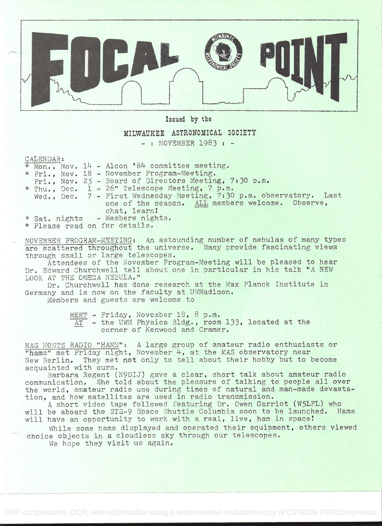

Issued by the

## MILWAUKEE ASTRONOMICAL SOCIETY

- : NOVEMBER 1983 : -

CALENDAR:

|  |               |  | * Mon., Nov. 14 - Alcon '84 committee meeting.                      |
|--|---------------|--|---------------------------------------------------------------------|
|  |               |  | * Fri., Nov. 18 - November Program-Meeting.                         |
|  |               |  | Fri., Nov. 25 - Board of Directors Meeting, 7:30 p.m.               |
|  |               |  | * Thu., Dec. 1 - 26" Telescope Meeting, 7 p.m.                      |
|  |               |  | Wed., Dec. 7 - First Wednesday Meeting, 7:30 p.m. observatory. Last |
|  |               |  | one of the season. ALL members welcome. Observe,                    |
|  |               |  | chat, learn!                                                        |
|  | * Sat. nights |  | - Members nights.                                                   |

\* Please read on for details.

NOVEMBER PROGRAM-MEETING: An astounding number of nebulas of many types are scattered throughout the universe. Many provide fascinating views through small or large telescopes.

Attendees of the November Program-Meeting will be pleased to hear Dr. Edward Ohurchwell tell about one in particular in his talk "A NEW LOOK AT THE OMEGA NEBULA."

Dr. Churchwell has done research at the Max Planck Institute in Germany and is now on the faculty at UWMadison.

Members and guests are welcome to

 $MEET$  - Friday, November 18, 8 p.m.

- the UWM Physics Bldg., room 133, located at the corner of Kenwood and Cramer.

MAS HOSTS RADIO "HAMS": A large group of amateur radio enthusiasts or "hams" met Friday night, November 4, at the MAS observatory near New Berlin. They met not only to tell about their hobby but to become acquainted with ours.

Barbara Regent (N9DIJ) gave a clear, short talk about amateur radio communication. She told about the pleasure of talking to people all over the world, amateur radio use during times of natural and man-made devastation, and how satellites are used in radio transmission.

<sup>A</sup>short video tape followed featuring Dr. Owen Garriot (W5LFL) who will be aboard the STS-9 Space Shuttle Columbia soon to be launched. Hams will have an opportunity to work with a real, live, ham in space!

While some hams displayed and operated their equipment, others viewed choice objects in a cloudless sky through our telescopes.

We hope they visit us again.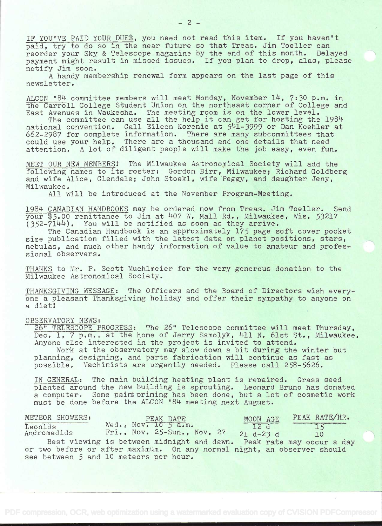IF YOU'VE PAID YOUR DUES, you need not read this item. If you haven't paid, try to do so in the near future so that Treas. Jim Toeller can reorder your Sky & Telescope magazine by the end of this month. Delayed payment might result in missed issues. If you plan to drop, alas, please notify Jim soon.

A handy membership renewal form appears on the last page of this newsletter.

ALCON '84 committee members will meet Monday, November  $14$ , 7:30 p.m. in the Carroll College Student Union on the northeast corner of College and East Avenues in Waukesha. The meeting room is on the lower level.

The committee can use all the help it can get for hosting the 1984 national convention. Call Eileen Korenic at 541-3999 or Dan Koehler at 662-2987 for complete information. There are many subcommittees that could use your help. There are a thousand and one details that need attention. A lot of diligent people will make the job easy, even fun.

MEET OUR NEW MEMBERS! The Milwaukee Astronomical Society will add the following names to its roster: Gordon Birr, Milwaukee; Richard Goldberg and wife Alice, Glendale; John Stoekl, wife Peggy, and daughter Jeny, Milwaukee.

All will be introduced at the November Program-Meeting.

1984 CANADIAN HANDBOOKS may be ordered now from Treas. Jim Toeller. Send your \$5.00 remittance to Jim at 407 W. Mall Rd., Milwaukee, Wis. 53217  $(352-7144)$ . You will be notified as soon as they arrive.

The Canadian Handbook is an approximately 175 page soft cover pocket size publication filled with the latest data on planet positions, stars, nebulas, and much other handy information of value to amateur and professional observers.

THANKS to Mr. P. Scott Muehlmeier for the very generous donation to the Milwaukee Astronomical Society,

THANKSGIVING MESSAGE: The Officers and the Board of Directors wish everyone a pleasant Thanksgiving holiday and offer their sympathy to anyone on a diet!

## OBSERVATORY NEWS:

26' TELESCOPE PROGRESS: The 26" Telescope committee will meet Thursday, Dec. 1, 7 p.m., at the home of Jerry Samolyk, 411 N. 61st St., Milwaukee. Anyone else interested in the project is invited to attend.

Work at the observatory may slow down a bit during the winter but planning, designing, and parts fabrication will continue as fast as possible. Machinists are urgently needed. Please call 258-5626.

IN GENERAL: The main building heating plant is repaired. Grass seed planted around the new building is sprouting. Leonard Bruno has donated a computer. Some paint priming has been done, but a lot of cosmetic work must be done before the ALCON '84 meeting next August.

| METEOR SHOWERS:        | PEAK DATE                                                               | MOON AGE           | PEAK RATE/HR. |  |
|------------------------|-------------------------------------------------------------------------|--------------------|---------------|--|
| Leonids<br>Andromedids | Wed., Nov. 16 5 a.m.<br>$Fri., Now. 25-Sun., Nov. 27$                   | 12d<br>$21 d-23 d$ | 10            |  |
|                        | Best viewing is between midnight and dawn. Peak rate may occur a day    |                    |               |  |
|                        | or two before or after maximum. On any normal night, an observer should |                    |               |  |
|                        | see between 5 and 10 meteors per hour.                                  |                    |               |  |

-2-